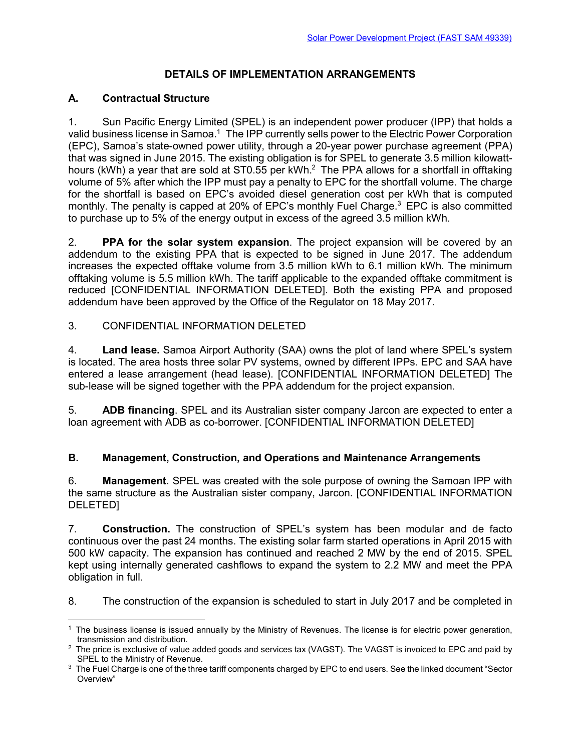# **DETAILS OF IMPLEMENTATION ARRANGEMENTS**

## **A. Contractual Structure**

1. Sun Pacific Energy Limited (SPEL) is an independent power producer (IPP) that holds a valid business license in Samoa.<sup>1</sup> The IPP currently sells power to the Electric Power Corporation (EPC), Samoa's state-owned power utility, through a 20-year power purchase agreement (PPA) that was signed in June 2015. The existing obligation is for SPEL to generate 3.5 million kilowatthours (kWh) a year that are sold at ST0.55 per kWh.<sup>2</sup> The PPA allows for a shortfall in offtaking volume of 5% after which the IPP must pay a penalty to EPC for the shortfall volume. The charge for the shortfall is based on EPC's avoided diesel generation cost per kWh that is computed monthly. The penalty is capped at 20% of EPC's monthly Fuel Charge.<sup>3</sup> EPC is also committed to purchase up to 5% of the energy output in excess of the agreed 3.5 million kWh.

2. **PPA for the solar system expansion**. The project expansion will be covered by an addendum to the existing PPA that is expected to be signed in June 2017. The addendum increases the expected offtake volume from 3.5 million kWh to 6.1 million kWh. The minimum offtaking volume is 5.5 million kWh. The tariff applicable to the expanded offtake commitment is reduced [CONFIDENTIAL INFORMATION DELETED]. Both the existing PPA and proposed addendum have been approved by the Office of the Regulator on 18 May 2017.

#### 3. CONFIDENTIAL INFORMATION DELETED

4. **Land lease.** Samoa Airport Authority (SAA) owns the plot of land where SPEL's system is located. The area hosts three solar PV systems, owned by different IPPs. EPC and SAA have entered a lease arrangement (head lease). [CONFIDENTIAL INFORMATION DELETED] The sub-lease will be signed together with the PPA addendum for the project expansion.

5. **ADB financing**. SPEL and its Australian sister company Jarcon are expected to enter a loan agreement with ADB as co-borrower. [CONFIDENTIAL INFORMATION DELETED]

#### **B. Management, Construction, and Operations and Maintenance Arrangements**

6. **Management**. SPEL was created with the sole purpose of owning the Samoan IPP with the same structure as the Australian sister company, Jarcon. [CONFIDENTIAL INFORMATION DELETED]

7. **Construction.** The construction of SPEL's system has been modular and de facto continuous over the past 24 months. The existing solar farm started operations in April 2015 with 500 kW capacity. The expansion has continued and reached 2 MW by the end of 2015. SPEL kept using internally generated cashflows to expand the system to 2.2 MW and meet the PPA obligation in full.

8. The construction of the expansion is scheduled to start in July 2017 and be completed in

<sup>1</sup> The business license is issued annually by the Ministry of Revenues. The license is for electric power generation, transmission and distribution.

 $^2$  The price is exclusive of value added goods and services tax (VAGST). The VAGST is invoiced to EPC and paid by SPEL to the Ministry of Revenue.

 $^3$  The Fuel Charge is one of the three tariff components charged by EPC to end users. See the linked document "Sector Overview"